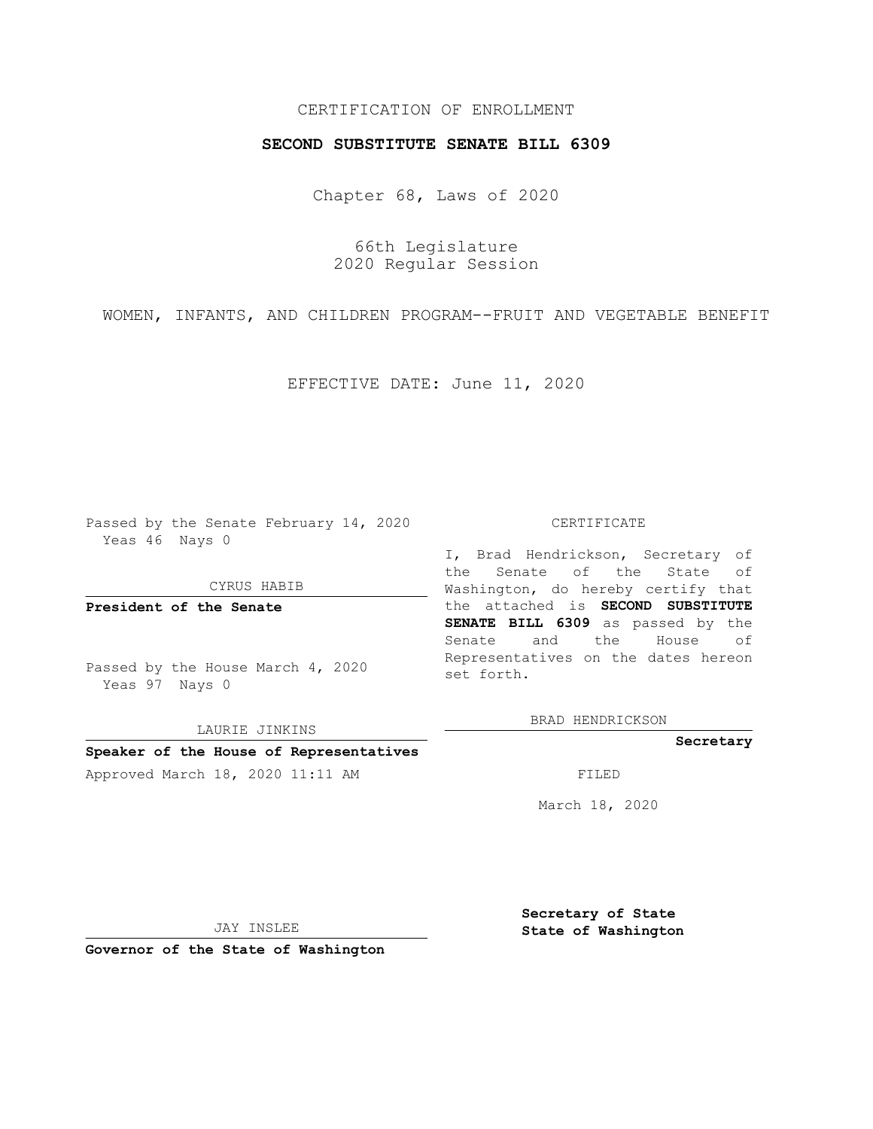# CERTIFICATION OF ENROLLMENT

## **SECOND SUBSTITUTE SENATE BILL 6309**

Chapter 68, Laws of 2020

66th Legislature 2020 Regular Session

WOMEN, INFANTS, AND CHILDREN PROGRAM--FRUIT AND VEGETABLE BENEFIT

EFFECTIVE DATE: June 11, 2020

Passed by the Senate February 14, 2020 Yeas 46 Nays 0

CYRUS HABIB

**President of the Senate**

Passed by the House March 4, 2020 Yeas 97 Nays 0

LAURIE JINKINS **Speaker of the House of Representatives**

#### CERTIFICATE

I, Brad Hendrickson, Secretary of the Senate of the State of Washington, do hereby certify that the attached is **SECOND SUBSTITUTE SENATE BILL 6309** as passed by the Senate and the House of Representatives on the dates hereon set forth.

BRAD HENDRICKSON

### **Secretary**

Approved March 18, 2020 11:11 AM FILED

March 18, 2020

JAY INSLEE

**Governor of the State of Washington**

**Secretary of State State of Washington**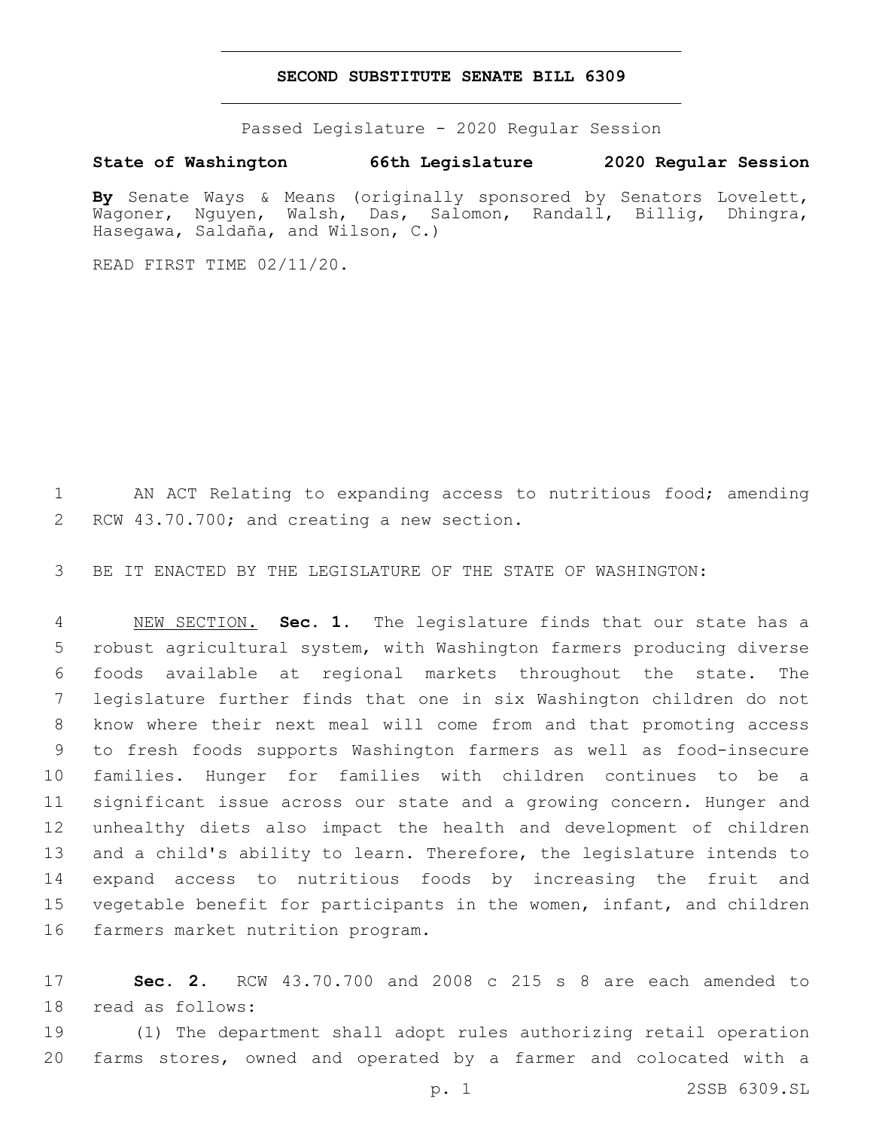### **SECOND SUBSTITUTE SENATE BILL 6309**

Passed Legislature - 2020 Regular Session

**State of Washington 66th Legislature 2020 Regular Session**

**By** Senate Ways & Means (originally sponsored by Senators Lovelett, Wagoner, Nguyen, Walsh, Das, Salomon, Randall, Billig, Dhingra, Hasegawa, Saldaña, and Wilson, C.)

READ FIRST TIME 02/11/20.

 AN ACT Relating to expanding access to nutritious food; amending 2 RCW 43.70.700; and creating a new section.

BE IT ENACTED BY THE LEGISLATURE OF THE STATE OF WASHINGTON:

 NEW SECTION. **Sec. 1.** The legislature finds that our state has a robust agricultural system, with Washington farmers producing diverse foods available at regional markets throughout the state. The legislature further finds that one in six Washington children do not know where their next meal will come from and that promoting access to fresh foods supports Washington farmers as well as food-insecure families. Hunger for families with children continues to be a significant issue across our state and a growing concern. Hunger and unhealthy diets also impact the health and development of children and a child's ability to learn. Therefore, the legislature intends to expand access to nutritious foods by increasing the fruit and vegetable benefit for participants in the women, infant, and children farmers market nutrition program.

 **Sec. 2.** RCW 43.70.700 and 2008 c 215 s 8 are each amended to 18 read as follows:

 (1) The department shall adopt rules authorizing retail operation farms stores, owned and operated by a farmer and colocated with a